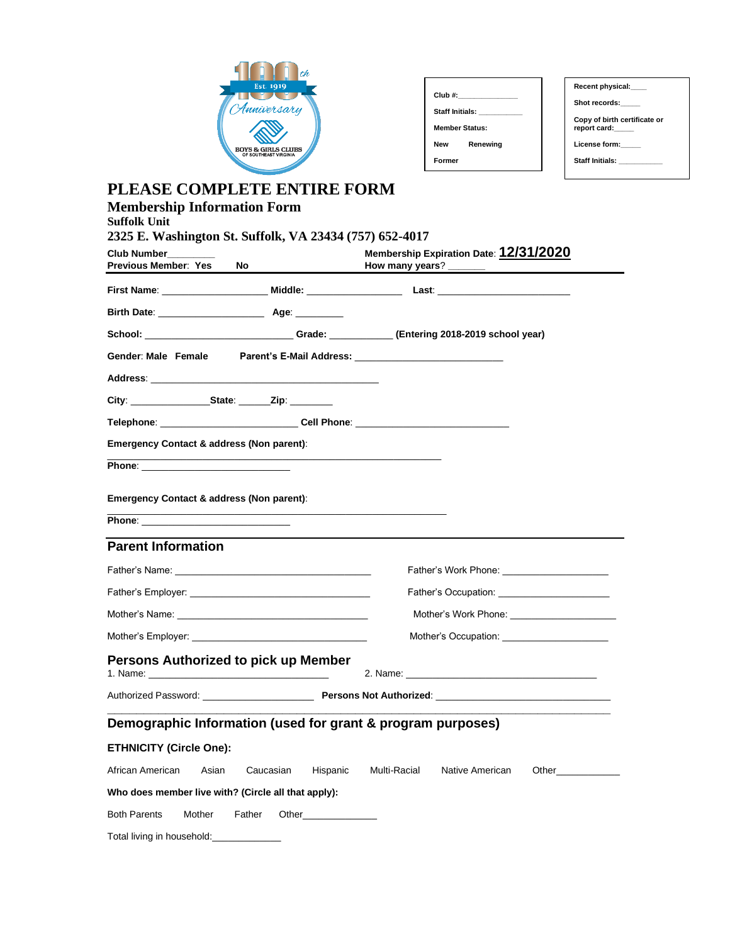

| Club #:         |                       |  |  |
|-----------------|-----------------------|--|--|
| Staff Initials: |                       |  |  |
|                 | <b>Member Status:</b> |  |  |
| <b>New</b>      | Renewing              |  |  |
| Former          |                       |  |  |

| Recent physical:                             |
|----------------------------------------------|
| Shot records:                                |
| Copy of birth certificate or<br>report card: |
| License form:                                |
| Staff Initials: <b>Staff Initials</b>        |
|                                              |

## **PLEASE COMPLETE ENTIRE FORM**

| <b>Membership Information Form</b><br><b>Suffolk Unit</b><br>2325 E. Washington St. Suffolk, VA 23434 (757) 652-4017 |                          |                                                                                         |
|----------------------------------------------------------------------------------------------------------------------|--------------------------|-----------------------------------------------------------------------------------------|
| <b>Club Number</b><br><b>Previous Member: Yes</b><br>No                                                              |                          | Membership Expiration Date: 12/31/2020                                                  |
|                                                                                                                      |                          |                                                                                         |
|                                                                                                                      |                          |                                                                                         |
|                                                                                                                      |                          | School: _____________________________Grade: ___________(Entering 2018-2019 school year) |
|                                                                                                                      |                          |                                                                                         |
| Address: North Commission and Commission and Commission and Commission and Commission and Commission and Commission  |                          |                                                                                         |
|                                                                                                                      |                          |                                                                                         |
|                                                                                                                      |                          | Telephone: _______________________________Cell Phone: __________________________        |
| <b>Emergency Contact &amp; address (Non parent):</b>                                                                 |                          |                                                                                         |
|                                                                                                                      |                          |                                                                                         |
| Emergency Contact & address (Non parent):                                                                            |                          |                                                                                         |
| the control of the control of the control of the                                                                     |                          |                                                                                         |
| <b>Parent Information</b>                                                                                            |                          |                                                                                         |
|                                                                                                                      |                          |                                                                                         |
|                                                                                                                      |                          | Father's Occupation: <u>contract the contract of</u>                                    |
| Mother's Name: University of the Mother's Name:                                                                      |                          |                                                                                         |
|                                                                                                                      |                          |                                                                                         |
| Persons Authorized to pick up Member                                                                                 |                          |                                                                                         |
|                                                                                                                      |                          |                                                                                         |
| Demographic Information (used for grant & program purposes)                                                          |                          |                                                                                         |
| <b>ETHNICITY (Circle One):</b>                                                                                       |                          |                                                                                         |
| African American<br>Asian                                                                                            | Caucasian<br>Hispanic    | Multi-Racial<br>Native American<br>Other <b>Communication</b>                           |
| Who does member live with? (Circle all that apply):                                                                  |                          |                                                                                         |
| <b>Both Parents</b><br>Mother<br>Father                                                                              | Other___________________ |                                                                                         |
| Total living in household:                                                                                           |                          |                                                                                         |